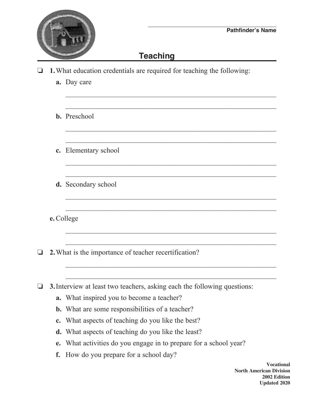

## **Teaching**

 $\mathcal{L}_\text{max} = \frac{1}{2} \sum_{i=1}^{n} \frac{1}{2} \sum_{i=1}^{n} \frac{1}{2} \sum_{i=1}^{n} \frac{1}{2} \sum_{i=1}^{n} \frac{1}{2} \sum_{i=1}^{n} \frac{1}{2} \sum_{i=1}^{n} \frac{1}{2} \sum_{i=1}^{n} \frac{1}{2} \sum_{i=1}^{n} \frac{1}{2} \sum_{i=1}^{n} \frac{1}{2} \sum_{i=1}^{n} \frac{1}{2} \sum_{i=1}^{n} \frac{1}{2} \sum_{i=1}^{n} \frac{1$ 

 $\mathcal{L}_\text{max} = \frac{1}{2} \sum_{i=1}^{n} \frac{1}{2} \sum_{i=1}^{n} \frac{1}{2} \sum_{i=1}^{n} \frac{1}{2} \sum_{i=1}^{n} \frac{1}{2} \sum_{i=1}^{n} \frac{1}{2} \sum_{i=1}^{n} \frac{1}{2} \sum_{i=1}^{n} \frac{1}{2} \sum_{i=1}^{n} \frac{1}{2} \sum_{i=1}^{n} \frac{1}{2} \sum_{i=1}^{n} \frac{1}{2} \sum_{i=1}^{n} \frac{1}{2} \sum_{i=1}^{n} \frac{1$ 

 $\frac{1}{2}$  ,  $\frac{1}{2}$  ,  $\frac{1}{2}$  ,  $\frac{1}{2}$  ,  $\frac{1}{2}$  ,  $\frac{1}{2}$  ,  $\frac{1}{2}$  ,  $\frac{1}{2}$  ,  $\frac{1}{2}$  ,  $\frac{1}{2}$  ,  $\frac{1}{2}$  ,  $\frac{1}{2}$  ,  $\frac{1}{2}$  ,  $\frac{1}{2}$  ,  $\frac{1}{2}$  ,  $\frac{1}{2}$  ,  $\frac{1}{2}$  ,  $\frac{1}{2}$  ,  $\frac{1$ 

 $\mathcal{L}_\text{max} = \frac{1}{2} \sum_{i=1}^n \frac{1}{2} \sum_{i=1}^n \frac{1}{2} \sum_{i=1}^n \frac{1}{2} \sum_{i=1}^n \frac{1}{2} \sum_{i=1}^n \frac{1}{2} \sum_{i=1}^n \frac{1}{2} \sum_{i=1}^n \frac{1}{2} \sum_{i=1}^n \frac{1}{2} \sum_{i=1}^n \frac{1}{2} \sum_{i=1}^n \frac{1}{2} \sum_{i=1}^n \frac{1}{2} \sum_{i=1}^n \frac{1}{2} \sum_{i=1}^n$ 

 $\mathcal{L}_\text{max} = \frac{1}{2} \sum_{i=1}^{n} \frac{1}{2} \sum_{i=1}^{n} \frac{1}{2} \sum_{i=1}^{n} \frac{1}{2} \sum_{i=1}^{n} \frac{1}{2} \sum_{i=1}^{n} \frac{1}{2} \sum_{i=1}^{n} \frac{1}{2} \sum_{i=1}^{n} \frac{1}{2} \sum_{i=1}^{n} \frac{1}{2} \sum_{i=1}^{n} \frac{1}{2} \sum_{i=1}^{n} \frac{1}{2} \sum_{i=1}^{n} \frac{1}{2} \sum_{i=1}^{n} \frac{1$ 

 $\mathcal{L}_\text{max} = \frac{1}{2} \sum_{i=1}^{n} \frac{1}{2} \sum_{i=1}^{n} \frac{1}{2} \sum_{i=1}^{n} \frac{1}{2} \sum_{i=1}^{n} \frac{1}{2} \sum_{i=1}^{n} \frac{1}{2} \sum_{i=1}^{n} \frac{1}{2} \sum_{i=1}^{n} \frac{1}{2} \sum_{i=1}^{n} \frac{1}{2} \sum_{i=1}^{n} \frac{1}{2} \sum_{i=1}^{n} \frac{1}{2} \sum_{i=1}^{n} \frac{1}{2} \sum_{i=1}^{n} \frac{1$ 

 $\mathcal{L}_\text{max} = \frac{1}{2} \sum_{i=1}^n \frac{1}{2} \sum_{i=1}^n \frac{1}{2} \sum_{i=1}^n \frac{1}{2} \sum_{i=1}^n \frac{1}{2} \sum_{i=1}^n \frac{1}{2} \sum_{i=1}^n \frac{1}{2} \sum_{i=1}^n \frac{1}{2} \sum_{i=1}^n \frac{1}{2} \sum_{i=1}^n \frac{1}{2} \sum_{i=1}^n \frac{1}{2} \sum_{i=1}^n \frac{1}{2} \sum_{i=1}^n \frac{1}{2} \sum_{i=1}^n$ 

 $\mathcal{L}_\text{max} = \frac{1}{2} \sum_{i=1}^{n} \frac{1}{2} \sum_{i=1}^{n} \frac{1}{2} \sum_{i=1}^{n} \frac{1}{2} \sum_{i=1}^{n} \frac{1}{2} \sum_{i=1}^{n} \frac{1}{2} \sum_{i=1}^{n} \frac{1}{2} \sum_{i=1}^{n} \frac{1}{2} \sum_{i=1}^{n} \frac{1}{2} \sum_{i=1}^{n} \frac{1}{2} \sum_{i=1}^{n} \frac{1}{2} \sum_{i=1}^{n} \frac{1}{2} \sum_{i=1}^{n} \frac{1$ 

 $\mathcal{L}_\text{max} = \frac{1}{2} \sum_{i=1}^{n} \frac{1}{2} \sum_{i=1}^{n} \frac{1}{2} \sum_{i=1}^{n} \frac{1}{2} \sum_{i=1}^{n} \frac{1}{2} \sum_{i=1}^{n} \frac{1}{2} \sum_{i=1}^{n} \frac{1}{2} \sum_{i=1}^{n} \frac{1}{2} \sum_{i=1}^{n} \frac{1}{2} \sum_{i=1}^{n} \frac{1}{2} \sum_{i=1}^{n} \frac{1}{2} \sum_{i=1}^{n} \frac{1}{2} \sum_{i=1}^{n} \frac{1$ 

 $\frac{1}{2}$  ,  $\frac{1}{2}$  ,  $\frac{1}{2}$  ,  $\frac{1}{2}$  ,  $\frac{1}{2}$  ,  $\frac{1}{2}$  ,  $\frac{1}{2}$  ,  $\frac{1}{2}$  ,  $\frac{1}{2}$  ,  $\frac{1}{2}$  ,  $\frac{1}{2}$  ,  $\frac{1}{2}$  ,  $\frac{1}{2}$  ,  $\frac{1}{2}$  ,  $\frac{1}{2}$  ,  $\frac{1}{2}$  ,  $\frac{1}{2}$  ,  $\frac{1}{2}$  ,  $\frac{1$ 

 $\mathcal{L}_\text{max} = \frac{1}{2} \sum_{i=1}^{n} \frac{1}{2} \sum_{i=1}^{n} \frac{1}{2} \sum_{i=1}^{n} \frac{1}{2} \sum_{i=1}^{n} \frac{1}{2} \sum_{i=1}^{n} \frac{1}{2} \sum_{i=1}^{n} \frac{1}{2} \sum_{i=1}^{n} \frac{1}{2} \sum_{i=1}^{n} \frac{1}{2} \sum_{i=1}^{n} \frac{1}{2} \sum_{i=1}^{n} \frac{1}{2} \sum_{i=1}^{n} \frac{1}{2} \sum_{i=1}^{n} \frac{1$ 

 $\mathcal{L}_\text{max} = \frac{1}{2} \sum_{i=1}^{n} \frac{1}{2} \sum_{i=1}^{n} \frac{1}{2} \sum_{i=1}^{n} \frac{1}{2} \sum_{i=1}^{n} \frac{1}{2} \sum_{i=1}^{n} \frac{1}{2} \sum_{i=1}^{n} \frac{1}{2} \sum_{i=1}^{n} \frac{1}{2} \sum_{i=1}^{n} \frac{1}{2} \sum_{i=1}^{n} \frac{1}{2} \sum_{i=1}^{n} \frac{1}{2} \sum_{i=1}^{n} \frac{1}{2} \sum_{i=1}^{n} \frac{1$ 

- $\Box$  **1.** What education credentials are required for teaching the following:
	- **a.** Day care
	- **b.** Preschool
	- **c.** Elementary school
	- **d.** Secondary school

**e.**College

**2.** What is the importance of teacher recertification?

 $\Box$  **3.** Interview at least two teachers, asking each the following questions:

- **a.** What inspired you to become a teacher?
- **b.** What are some responsibilities of a teacher?
- **c.** What aspects of teaching do you like the best?
- **d.** What aspects of teaching do you like the least?
- **e.** What activities do you engage in to prepare for a school year?
- **f.** How do you prepare for a school day?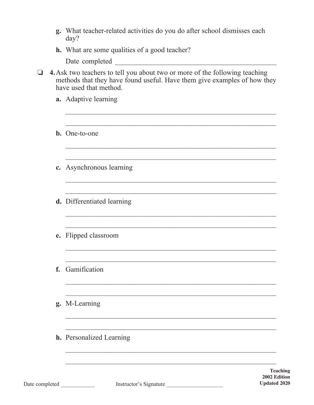| g. | What teacher-related activities do you do after school dismisses each<br>day?                                                                                                     |
|----|-----------------------------------------------------------------------------------------------------------------------------------------------------------------------------------|
|    | <b>h.</b> What are some qualities of a good teacher?                                                                                                                              |
|    | Date completed                                                                                                                                                                    |
|    | 4. Ask two teachers to tell you about two or more of the following teaching<br>methods that they have found useful. Have them give examples of how they<br>have used that method. |
|    | a. Adaptive learning                                                                                                                                                              |
|    |                                                                                                                                                                                   |
|    | <b>b.</b> One-to-one                                                                                                                                                              |
|    |                                                                                                                                                                                   |
|    | c. Asynchronous learning                                                                                                                                                          |
|    |                                                                                                                                                                                   |
|    | d. Differentiated learning                                                                                                                                                        |
|    |                                                                                                                                                                                   |
|    | e. Flipped classroom                                                                                                                                                              |
|    |                                                                                                                                                                                   |
|    | f. Gamification                                                                                                                                                                   |
|    |                                                                                                                                                                                   |
|    | g. M-Learning                                                                                                                                                                     |
|    |                                                                                                                                                                                   |
|    | <b>h.</b> Personalized Learning                                                                                                                                                   |
|    |                                                                                                                                                                                   |
|    |                                                                                                                                                                                   |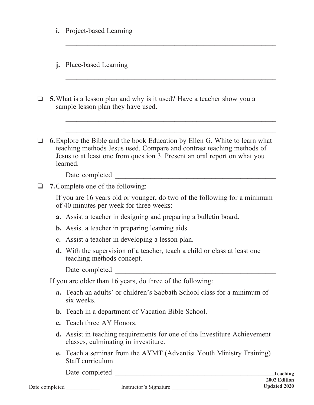|  |                                          | i. Project-based Learning                                                                                                                                                                                                                            |  |  |
|--|------------------------------------------|------------------------------------------------------------------------------------------------------------------------------------------------------------------------------------------------------------------------------------------------------|--|--|
|  | j.                                       | Place-based Learning                                                                                                                                                                                                                                 |  |  |
|  |                                          | <b>5.</b> What is a lesson plan and why is it used? Have a teacher show you a<br>sample lesson plan they have used.                                                                                                                                  |  |  |
|  |                                          | <b>6.</b> Explore the Bible and the book Education by Ellen G. White to learn what<br>teaching methods Jesus used. Compare and contrast teaching methods of<br>Jesus to at least one from question 3. Present an oral report on what you<br>learned. |  |  |
|  |                                          | Date completed                                                                                                                                                                                                                                       |  |  |
|  | <b>7.</b> Complete one of the following: |                                                                                                                                                                                                                                                      |  |  |
|  |                                          | If you are 16 years old or younger, do two of the following for a minimum<br>of 40 minutes per week for three weeks:                                                                                                                                 |  |  |
|  |                                          | <b>a.</b> Assist a teacher in designing and preparing a bulletin board.                                                                                                                                                                              |  |  |
|  |                                          | <b>b.</b> Assist a teacher in preparing learning aids.                                                                                                                                                                                               |  |  |
|  |                                          | c. Assist a teacher in developing a lesson plan.                                                                                                                                                                                                     |  |  |
|  |                                          | <b>d.</b> With the supervision of a teacher, teach a child or class at least one<br>teaching methods concept.                                                                                                                                        |  |  |
|  |                                          | Date completed                                                                                                                                                                                                                                       |  |  |
|  |                                          | If you are older than 16 years, do three of the following:                                                                                                                                                                                           |  |  |
|  |                                          | a. Teach an adults' or children's Sabbath School class for a minimum of<br>six weeks.                                                                                                                                                                |  |  |
|  |                                          | <b>b.</b> Teach in a department of Vacation Bible School.                                                                                                                                                                                            |  |  |
|  |                                          | c. Teach three AY Honors.                                                                                                                                                                                                                            |  |  |
|  |                                          | <b>d.</b> Assist in teaching requirements for one of the Investiture Achievement<br>classes, culminating in investiture.                                                                                                                             |  |  |
|  |                                          | e. Teach a seminar from the AYMT (Adventist Youth Ministry Training)<br>Staff curriculum                                                                                                                                                             |  |  |
|  |                                          | Date completed                                                                                                                                                                                                                                       |  |  |